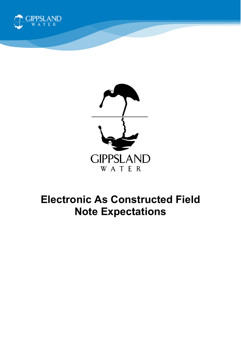



# **Electronic As Constructed Field Note Expectations**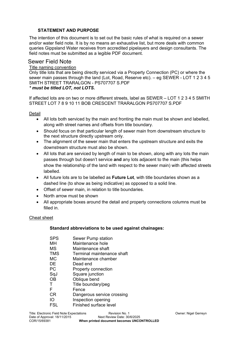## **STATEMENT AND PURPOSE**

The intention of this document is to set out the basic rules of what is required on a sewer and/or water field note. It is by no means an exhaustive list, but more deals with common queries Gippsland Water receives from accredited pipelayers and design consultants. The field notes must be submitted as a legible PDF document.

## Sewer Field Note

### Title naming convention

Only title lots that are being directly serviced via a Property Connection (PC) or where the sewer main passes through the land (Lot, Road, Reserve etc). – eg SEWER - LOT 1 2 3 4 5 SMITH STREET TRARALGON - PS707707 S.PDF

#### *\* must be titled LOT, not LOTS.*

If affected lots are on two or more different streets, label as SEWER – LOT 1 2 3 4 5 SMITH STREET LOT 7 8 9 10 11 BOB CRESCENT TRARALGON PS707707 S.PDF

Detail

- All lots both serviced by the main and fronting the main must be shown and labelled, along with street names and offsets from title boundary.
- Should focus on that particular length of sewer main from downstream structure to the next structure directly upstream only.
- The alignment of the sewer main that enters the upstream structure and exits the downstream structure must also be shown.
- All lots that are serviced by length of main to be shown, along with any lots the main passes through but doesn't service **and** any lots adjacent to the main (this helps show the relationship of the land with respect to the sewer main) with affected streets labelled.
- All future lots are to be labelled as **Future Lot**, with title boundaries shown as a dashed line (to show as being indicative) as opposed to a solid line.
- Offset of sewer main, in relation to title boundaries.
- North arrow must be shown
- All appropriate boxes around the detail and property connections columns must be filled in.

#### Cheat sheet

#### **Standard abbreviations to be used against chainages:**

| <b>SPS</b> | Sewer Pump station            |
|------------|-------------------------------|
| мн         | Maintenance hole              |
| ΜS         | Maintenance shaft             |
| <b>TMS</b> | Terminal maintenance shaft    |
| МC         | Maintenance chamber           |
| DE         | Dead end                      |
| <b>PC</b>  | <b>Property connection</b>    |
| SqJ        | Square junction               |
| <b>OB</b>  | Oblique bend                  |
| т          | Title boundary/peg            |
| F          | Fence                         |
| СR         | Dangerous service crossing    |
| IO         | Inspection opening            |
| FSL        | <b>Finished surface level</b> |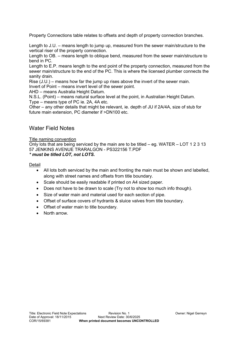Property Connections table relates to offsets and depth of property connection branches.

Length to J.U. – means length to jump up, measured from the sewer main/structure to the vertical riser of the property connection.

Length to OB. – means length to oblique bend, measured from the sewer main/structure to bend in PC.

Length to E.P. means length to the end point of the property connection, measured from the sewer main/structure to the end of the PC. This is where the licensed plumber connects the sanity drain.

Rise (J.U.) – means how far the jump up rises above the invert of the sewer main. Invert of Point – means invert level of the sewer point.

AHD – means Australia Height Datum.

N.S.L. (Point) – means natural surface level at the point, in Australian Height Datum. Type – means type of PC ie. 2A, 4A etc.

Other – any other details that might be relevant, ie. depth of JU if 2A/4A, size of stub for future main extension, PC diameter if >DN100 etc.

# Water Field Notes

#### Title naming convention

Only lots that are being serviced by the main are to be titled – eg. WATER – LOT 1 2 3 13 57 JENKINS AVENUE TRARALGON - PS322156 T.PDF *\* must be titled LOT, not LOTS.*

#### Detail

- All lots both serviced by the main and fronting the main must be shown and labelled, along with street names and offsets from title boundary.
- Scale should be easily readable if printed on A4 sized paper.
- Does not have to be drawn to scale (Try not to show too much info though).
- Size of water main and material used for each section of pipe.
- Offset of surface covers of hydrants & sluice valves from title boundary.
- Offset of water main to title boundary.
- North arrow.